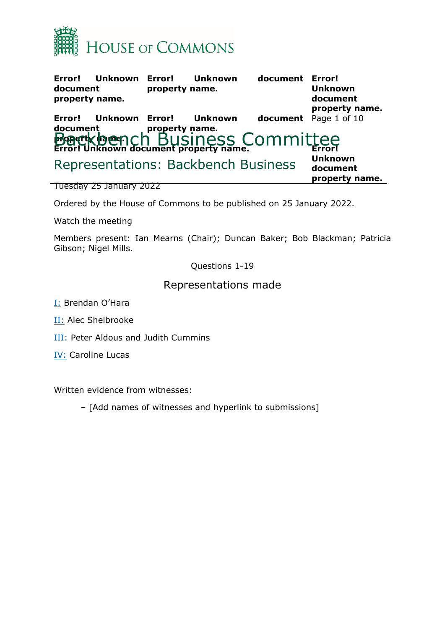

| Error!<br>document<br>property name. | Unknown Error! | property name. | Unknown        | document                                                               | <b>Error!</b><br><b>Unknown</b><br>document<br>property name. |
|--------------------------------------|----------------|----------------|----------------|------------------------------------------------------------------------|---------------------------------------------------------------|
| Error!                               | Unknown Error! |                | <b>Unknown</b> | document property name.<br><b>Magerty 1909</b> 1 Ch BUSINESS COMMIttee | document Page 1 of 10                                         |
|                                      |                |                |                |                                                                        |                                                               |
|                                      |                |                |                | Representations: Backbench Business                                    | <b>Unknown</b><br>document<br>property name.                  |

Tuesday 25 January 2022

Ordered by the House of Commons to be published on 25 January 2022.

Watch the meeting

Members present: Ian Mearns (Chair); Duncan Baker; Bob Blackman; Patricia Gibson; Nigel Mills.

Questions 1-19

## Representations made

- [I:](#page-1-0) Brendan O'Hara
- **[II:](#page-2-0)** Alec Shelbrooke
- [III:](#page-4-0) Peter Aldous and Judith Cummins
- [IV:](#page-7-0) Caroline Lucas

Written evidence from witnesses:

– [Add names of witnesses and hyperlink to submissions]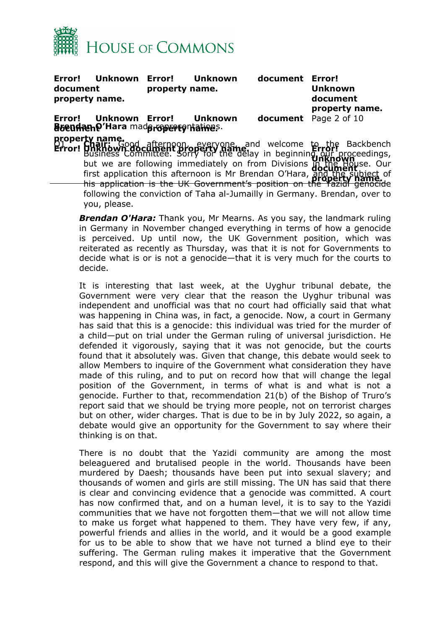

<span id="page-1-0"></span>

| document | Error! Unknown Error!<br>property name.                            | property name. | <b>Unknown</b> | document | Error!<br><b>Unknown</b><br>document<br>property name.                                                                                                                                                                                                                                                                                                                                                                                                                                         |  |
|----------|--------------------------------------------------------------------|----------------|----------------|----------|------------------------------------------------------------------------------------------------------------------------------------------------------------------------------------------------------------------------------------------------------------------------------------------------------------------------------------------------------------------------------------------------------------------------------------------------------------------------------------------------|--|
|          | Error! Unknown Error! Unknown<br>Boendano'Hara madoropertonatives. |                |                |          | <b>document</b> Page 2 of 10                                                                                                                                                                                                                                                                                                                                                                                                                                                                   |  |
|          | you, please.                                                       |                |                |          | property name.<br><b>Error! Unknown document property hame</b> and welcome to the Backbench<br><b>Error! Business Committee. Sorry for the delay in beginning our proceedings,</b><br>but we are following immediately on from Divisions in the House. Our<br>first application this afternoon is Mr Brendan O'Hara, and the subject of<br>his application is the UK Government's position on the Yazidi genocide<br>following the conviction of Taha al-Jumailly in Germany. Brendan, over to |  |

*Brendan O'Hara:* Thank you, Mr Mearns. As you say, the landmark ruling in Germany in November changed everything in terms of how a genocide is perceived. Up until now, the UK Government position, which was reiterated as recently as Thursday, was that it is not for Governments to decide what is or is not a genocide—that it is very much for the courts to decide.

It is interesting that last week, at the Uyghur tribunal debate, the Government were very clear that the reason the Uyghur tribunal was independent and unofficial was that no court had officially said that what was happening in China was, in fact, a genocide. Now, a court in Germany has said that this is a genocide: this individual was tried for the murder of a child—put on trial under the German ruling of universal jurisdiction. He defended it vigorously, saying that it was not genocide, but the courts found that it absolutely was. Given that change, this debate would seek to allow Members to inquire of the Government what consideration they have made of this ruling, and to put on record how that will change the legal position of the Government, in terms of what is and what is not a genocide. Further to that, recommendation 21(b) of the Bishop of Truro's report said that we should be trying more people, not on terrorist charges but on other, wider charges. That is due to be in by July 2022, so again, a debate would give an opportunity for the Government to say where their thinking is on that.

There is no doubt that the Yazidi community are among the most beleaguered and brutalised people in the world. Thousands have been murdered by Daesh; thousands have been put into sexual slavery; and thousands of women and girls are still missing. The UN has said that there is clear and convincing evidence that a genocide was committed. A court has now confirmed that, and on a human level, it is to say to the Yazidi communities that we have not forgotten them—that we will not allow time to make us forget what happened to them. They have very few, if any, powerful friends and allies in the world, and it would be a good example for us to be able to show that we have not turned a blind eye to their suffering. The German ruling makes it imperative that the Government respond, and this will give the Government a chance to respond to that.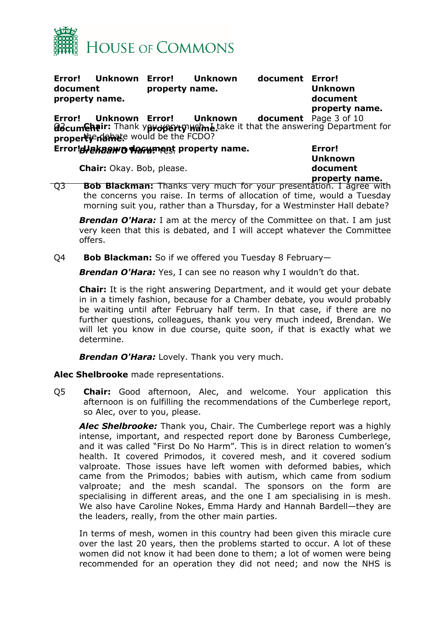

| Error!<br>document<br>property name. | <b>Unknown</b> | Error!<br>property name. | Unknown        | document Error! | <b>Unknown</b><br>document<br>property name.                                                                                             |
|--------------------------------------|----------------|--------------------------|----------------|-----------------|------------------------------------------------------------------------------------------------------------------------------------------|
| Error!                               | <b>Unknown</b> |                          | Error! Unknown |                 | <b>document</b> Page 3 of 10<br>docum Chair: Thank yproperty was take it that the answering Department for property rating the the FCDO? |
|                                      |                |                          |                |                 | Error!<br><b>Unknown</b>                                                                                                                 |

**Chair:** Okay. Bob, please.

**document property name.**

Q3 **Bob Blackman:** Thanks very much for your presentation. I agree with the concerns you raise. In terms of allocation of time, would a Tuesday morning suit you, rather than a Thursday, for a Westminster Hall debate?

*Brendan O'Hara:* I am at the mercy of the Committee on that. I am just very keen that this is debated, and I will accept whatever the Committee offers.

Q4 **Bob Blackman:** So if we offered you Tuesday 8 February—

*Brendan O'Hara:* Yes, I can see no reason why I wouldn't do that.

**Chair:** It is the right answering Department, and it would get your debate in in a timely fashion, because for a Chamber debate, you would probably be waiting until after February half term. In that case, if there are no further questions, colleagues, thank you very much indeed, Brendan. We will let you know in due course, quite soon, if that is exactly what we determine.

*Brendan O'Hara:* Lovely. Thank you very much.

<span id="page-2-0"></span>**Alec Shelbrooke** made representations.

Q5 **Chair:** Good afternoon, Alec, and welcome. Your application this afternoon is on fulfilling the recommendations of the Cumberlege report, so Alec, over to you, please.

*Alec Shelbrooke:* Thank you, Chair. The Cumberlege report was a highly intense, important, and respected report done by Baroness Cumberlege, and it was called "First Do No Harm". This is in direct relation to women's health. It covered Primodos, it covered mesh, and it covered sodium valproate. Those issues have left women with deformed babies, which came from the Primodos; babies with autism, which came from sodium valproate; and the mesh scandal. The sponsors on the form are specialising in different areas, and the one I am specialising in is mesh. We also have Caroline Nokes, Emma Hardy and Hannah Bardell—they are the leaders, really, from the other main parties.

In terms of mesh, women in this country had been given this miracle cure over the last 20 years, then the problems started to occur. A lot of these women did not know it had been done to them; a lot of women were being recommended for an operation they did not need; and now the NHS is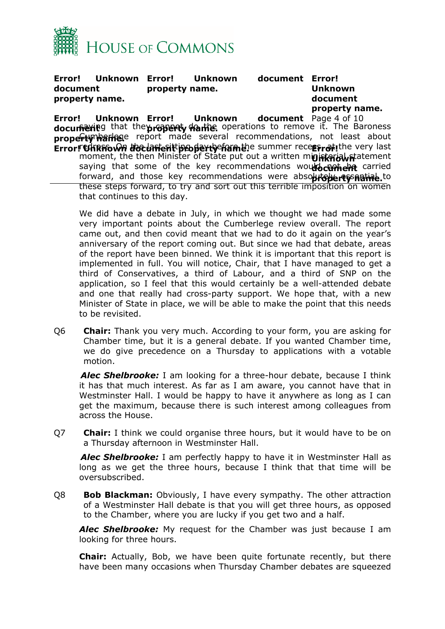

**Error! Unknown document property name. Error! Unknown document Error! property name.**

**Unknown document property name.**

**Error! Unknown docum୍କ**ଳ୍ପା£ property hare report made several recommendations, not least about **Error! Unknown document ክ֎/il** g that the **property ተክਜਇ.** operations to remove it. The Baroness document Page 4 of 10 **Error! Unknown document property framble summer recept of the very last** moment, the then Minister of State put out a written m**inisterial st**atement saying that some of the key recommendations would curied forward, and those key recommendations were abso**luteberty natial to** these steps forward, to try and sort out this terrible imposition on women that continues to this day.

We did have a debate in July, in which we thought we had made some very important points about the Cumberlege review overall. The report came out, and then covid meant that we had to do it again on the year's anniversary of the report coming out. But since we had that debate, areas of the report have been binned. We think it is important that this report is implemented in full. You will notice, Chair, that I have managed to get a third of Conservatives, a third of Labour, and a third of SNP on the application, so I feel that this would certainly be a well-attended debate and one that really had cross-party support. We hope that, with a new Minister of State in place, we will be able to make the point that this needs to be revisited.

Q6 **Chair:** Thank you very much. According to your form, you are asking for Chamber time, but it is a general debate. If you wanted Chamber time, we do give precedence on a Thursday to applications with a votable motion.

*Alec Shelbrooke:* I am looking for a three-hour debate, because I think it has that much interest. As far as I am aware, you cannot have that in Westminster Hall. I would be happy to have it anywhere as long as I can get the maximum, because there is such interest among colleagues from across the House.

Q7 **Chair:** I think we could organise three hours, but it would have to be on a Thursday afternoon in Westminster Hall.

*Alec Shelbrooke:* I am perfectly happy to have it in Westminster Hall as long as we get the three hours, because I think that that time will be oversubscribed.

Q8 **Bob Blackman:** Obviously, I have every sympathy. The other attraction of a Westminster Hall debate is that you will get three hours, as opposed to the Chamber, where you are lucky if you get two and a half.

*Alec Shelbrooke:* My request for the Chamber was just because I am looking for three hours.

**Chair:** Actually, Bob, we have been quite fortunate recently, but there have been many occasions when Thursday Chamber debates are squeezed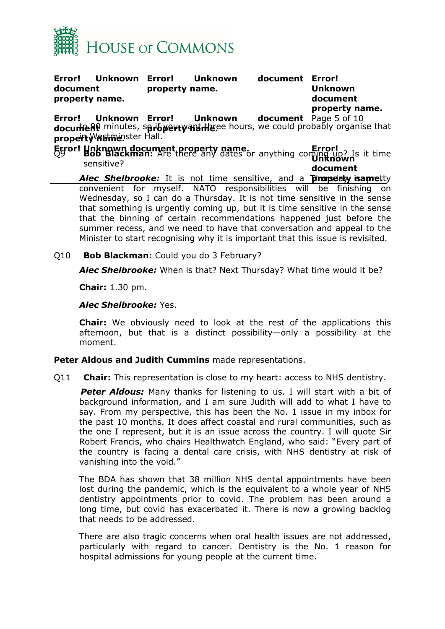

**Error! Unknown document property name. Error! Unknown document Error! property name. Unknown document**

**property name.**

**Error! Unknown docurte Al** minutes, spriby erty martizee hours, we could probably organise that **property name.** in Westminster Hall. **Unknown** document Page 5 of 10

**Error! Unknown document property name. Error!** Q9 **Bob Blackman:** Are there any dates or anything coming up? Is it time **document** sensitive?

**Alec Shelbrooke:** It is not time sensitive, and a Thursdaty is a pretty convenient for myself. NATO responsibilities will be finishing on Wednesday, so I can do a Thursday. It is not time sensitive in the sense that something is urgently coming up, but it is time sensitive in the sense that the binning of certain recommendations happened just before the summer recess, and we need to have that conversation and appeal to the Minister to start recognising why it is important that this issue is revisited.

Q10 **Bob Blackman:** Could you do 3 February?

*Alec Shelbrooke:* When is that? Next Thursday? What time would it be?

**Chair:** 1.30 pm.

*Alec Shelbrooke:* Yes.

**Chair:** We obviously need to look at the rest of the applications this afternoon, but that is a distinct possibility—only a possibility at the moment.

<span id="page-4-0"></span>**Peter Aldous and Judith Cummins** made representations.

Q11 **Chair:** This representation is close to my heart: access to NHS dentistry.

*Peter Aldous:* Many thanks for listening to us. I will start with a bit of background information, and I am sure Judith will add to what I have to say. From my perspective, this has been the No. 1 issue in my inbox for the past 10 months. It does affect coastal and rural communities, such as the one I represent, but it is an issue across the country. I will quote Sir Robert Francis, who chairs Healthwatch England, who said: "Every part of the country is facing a dental care crisis, with NHS dentistry at risk of vanishing into the void."

The BDA has shown that 38 million NHS dental appointments have been lost during the pandemic, which is the equivalent to a whole year of NHS dentistry appointments prior to covid. The problem has been around a long time, but covid has exacerbated it. There is now a growing backlog that needs to be addressed.

There are also tragic concerns when oral health issues are not addressed, particularly with regard to cancer. Dentistry is the No. 1 reason for hospital admissions for young people at the current time.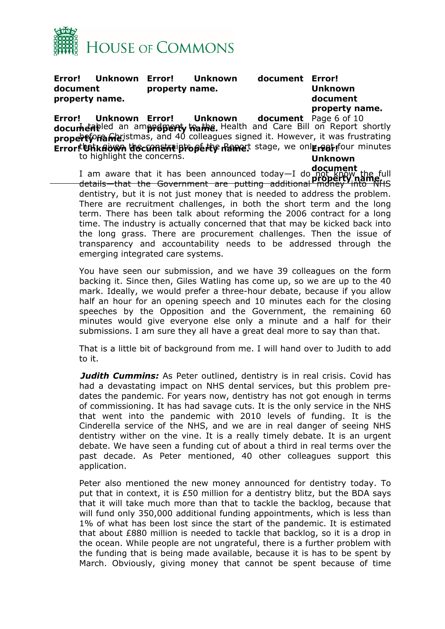

**Error! Unknown document property name. Unknown property name.**

**Error! Unknown document property name.**

**Error! Unknown docum่<del>e่ศ</del>ิเ** property **ramic is that is and 40** colleagues signed it. However, it was frustrating **Error! Unknown document heab**led an am**erdpenty to the.** Health and Care Bill on Report shortly document Page 6 of 10 **Error! Unknown document iproperty Ramet** stage, we only got four minutes **Unknown** to highlight the concerns.

**document**<br>I am aware that it has been announced today—I do not know the full I am aware that it has been announced today—I do not know the full<br>datails, that the Covernment are nutting additional **Property name**ric details—that the Government are putting additional money into NHS dentistry, but it is not just money that is needed to address the problem. There are recruitment challenges, in both the short term and the long term. There has been talk about reforming the 2006 contract for a long time. The industry is actually concerned that that may be kicked back into the long grass. There are procurement challenges. Then the issue of transparency and accountability needs to be addressed through the emerging integrated care systems.

You have seen our submission, and we have 39 colleagues on the form backing it. Since then, Giles Watling has come up, so we are up to the 40 mark. Ideally, we would prefer a three-hour debate, because if you allow half an hour for an opening speech and 10 minutes each for the closing speeches by the Opposition and the Government, the remaining 60 minutes would give everyone else only a minute and a half for their submissions. I am sure they all have a great deal more to say than that.

That is a little bit of background from me. I will hand over to Judith to add to it.

**Judith Cummins:** As Peter outlined, dentistry is in real crisis. Covid has had a devastating impact on NHS dental services, but this problem predates the pandemic. For years now, dentistry has not got enough in terms of commissioning. It has had savage cuts. It is the only service in the NHS that went into the pandemic with 2010 levels of funding. It is the Cinderella service of the NHS, and we are in real danger of seeing NHS dentistry wither on the vine. It is a really timely debate. It is an urgent debate. We have seen a funding cut of about a third in real terms over the past decade. As Peter mentioned, 40 other colleagues support this application.

Peter also mentioned the new money announced for dentistry today. To put that in context, it is £50 million for a dentistry blitz, but the BDA says that it will take much more than that to tackle the backlog, because that will fund only 350,000 additional funding appointments, which is less than 1% of what has been lost since the start of the pandemic. It is estimated that about £880 million is needed to tackle that backlog, so it is a drop in the ocean. While people are not ungrateful, there is a further problem with the funding that is being made available, because it is has to be spent by March. Obviously, giving money that cannot be spent because of time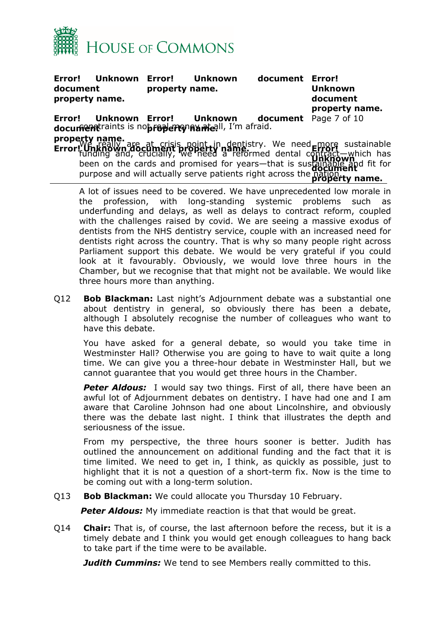

**Error! Unknown document property name. Unknown property name. Error! Unknown document property name. Error! Unknown** document raints is not read enon and all, I'm afraid. **property name. Unknown** document Page 7 of 10 **Error! Unknown document property name. Error! Unknown document** purpose and will actually serve patients right across the nation. **Property name.** We really are at crisis point in dentistry. We need more sustainable funding and, crucially, we need a reformed dental contract—which has been on the cards and promised for years—that is sustainable and fit for

A lot of issues need to be covered. We have unprecedented low morale in the profession, with long-standing systemic problems such as underfunding and delays, as well as delays to contract reform, coupled with the challenges raised by covid. We are seeing a massive exodus of dentists from the NHS dentistry service, couple with an increased need for dentists right across the country. That is why so many people right across Parliament support this debate. We would be very grateful if you could look at it favourably. Obviously, we would love three hours in the Chamber, but we recognise that that might not be available. We would like three hours more than anything.

Q12 **Bob Blackman:** Last night's Adjournment debate was a substantial one about dentistry in general, so obviously there has been a debate, although I absolutely recognise the number of colleagues who want to have this debate.

You have asked for a general debate, so would you take time in Westminster Hall? Otherwise you are going to have to wait quite a long time. We can give you a three-hour debate in Westminster Hall, but we cannot guarantee that you would get three hours in the Chamber.

**Peter Aldous:** I would say two things. First of all, there have been an awful lot of Adjournment debates on dentistry. I have had one and I am aware that Caroline Johnson had one about Lincolnshire, and obviously there was the debate last night. I think that illustrates the depth and seriousness of the issue.

From my perspective, the three hours sooner is better. Judith has outlined the announcement on additional funding and the fact that it is time limited. We need to get in, I think, as quickly as possible, just to highlight that it is not a question of a short-term fix. Now is the time to be coming out with a long-term solution.

Q13 **Bob Blackman:** We could allocate you Thursday 10 February.

**Peter Aldous:** My immediate reaction is that that would be great.

Q14 **Chair:** That is, of course, the last afternoon before the recess, but it is a timely debate and I think you would get enough colleagues to hang back to take part if the time were to be available.

*Judith Cummins:* We tend to see Members really committed to this.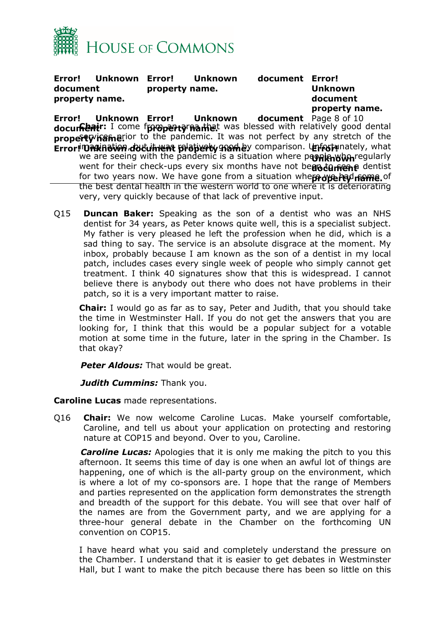

**Error! Unknown document property name. Unknown property name.**

document Error! **Unknown document property name.**

**Error! Unknown** document property **hame**rior to the pandemic. It was not perfect by any stretch of the **Error! Unknown document Glair:** I come f**property name**t was blessed with relatively good dental document Page 8 of 10 **Error! DRKING INK document platierly ham by comparison. Unfortunately, what** we are seeing with the pandemic is a situation where p**eoplen whan**regularly went for their check-ups every six months have not be**go to neene** dentist for two years now. We have gone from a situation whe**ß vise had name.** of the best dental health in the western world to one where it is deteriorating very, very quickly because of that lack of preventive input.

Q15 **Duncan Baker:** Speaking as the son of a dentist who was an NHS dentist for 34 years, as Peter knows quite well, this is a specialist subject. My father is very pleased he left the profession when he did, which is a sad thing to say. The service is an absolute disgrace at the moment. My inbox, probably because I am known as the son of a dentist in my local patch, includes cases every single week of people who simply cannot get treatment. I think 40 signatures show that this is widespread. I cannot believe there is anybody out there who does not have problems in their patch, so it is a very important matter to raise.

**Chair:** I would go as far as to say, Peter and Judith, that you should take the time in Westminster Hall. If you do not get the answers that you are looking for, I think that this would be a popular subject for a votable motion at some time in the future, later in the spring in the Chamber. Is that okay?

*Peter Aldous:* That would be great.

*Judith Cummins:* Thank you.

<span id="page-7-0"></span>**Caroline Lucas** made representations.

Q16 **Chair:** We now welcome Caroline Lucas. Make yourself comfortable, Caroline, and tell us about your application on protecting and restoring nature at COP15 and beyond. Over to you, Caroline.

*Caroline Lucas:* Apologies that it is only me making the pitch to you this afternoon. It seems this time of day is one when an awful lot of things are happening, one of which is the all-party group on the environment, which is where a lot of my co-sponsors are. I hope that the range of Members and parties represented on the application form demonstrates the strength and breadth of the support for this debate. You will see that over half of the names are from the Government party, and we are applying for a three-hour general debate in the Chamber on the forthcoming UN convention on COP15.

I have heard what you said and completely understand the pressure on the Chamber. I understand that it is easier to get debates in Westminster Hall, but I want to make the pitch because there has been so little on this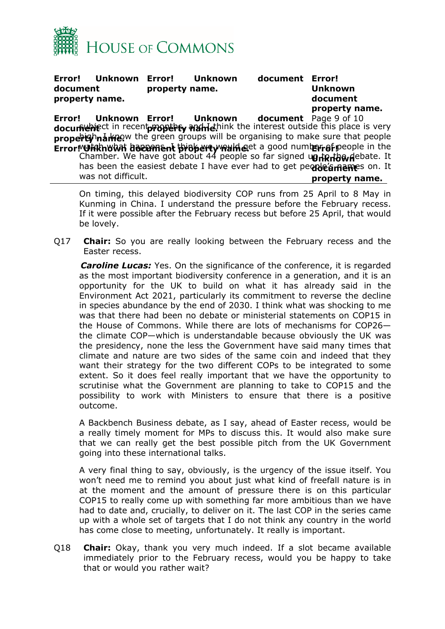

**Error! Unknown document property name. Error! Unknown document Error! property name.**

**Unknown document property name.**

**Error! Unknown** docum<del>ੰ</del> ਵਿਜੇ property nare ow the green groups will be organising to make sure that people **Error! Unknown document ክ⊌ክje**ct in recent**propthey ብዝተie.**hink the interest outside this place is very document Page 9 of 10 **Error! Unknown document property name. Error! Unknown** has been the easiest debate I have ever had to get pe**ople's meme**s on. It **property name.** w**atsk what happens it think we well g**et a good numb**er of p**eople in the Chamber. We have got about 44 people so far signed up to that debate. It was not difficult.

On timing, this delayed biodiversity COP runs from 25 April to 8 May in Kunming in China. I understand the pressure before the February recess. If it were possible after the February recess but before 25 April, that would be lovely.

Q17 **Chair:** So you are really looking between the February recess and the Easter recess.

*Caroline Lucas:* Yes. On the significance of the conference, it is regarded as the most important biodiversity conference in a generation, and it is an opportunity for the UK to build on what it has already said in the Environment Act 2021, particularly its commitment to reverse the decline in species abundance by the end of 2030. I think what was shocking to me was that there had been no debate or ministerial statements on COP15 in the House of Commons. While there are lots of mechanisms for COP26 the climate COP—which is understandable because obviously the UK was the presidency, none the less the Government have said many times that climate and nature are two sides of the same coin and indeed that they want their strategy for the two different COPs to be integrated to some extent. So it does feel really important that we have the opportunity to scrutinise what the Government are planning to take to COP15 and the possibility to work with Ministers to ensure that there is a positive outcome.

A Backbench Business debate, as I say, ahead of Easter recess, would be a really timely moment for MPs to discuss this. It would also make sure that we can really get the best possible pitch from the UK Government going into these international talks.

A very final thing to say, obviously, is the urgency of the issue itself. You won't need me to remind you about just what kind of freefall nature is in at the moment and the amount of pressure there is on this particular COP15 to really come up with something far more ambitious than we have had to date and, crucially, to deliver on it. The last COP in the series came up with a whole set of targets that I do not think any country in the world has come close to meeting, unfortunately. It really is important.

Q18 **Chair:** Okay, thank you very much indeed. If a slot became available immediately prior to the February recess, would you be happy to take that or would you rather wait?